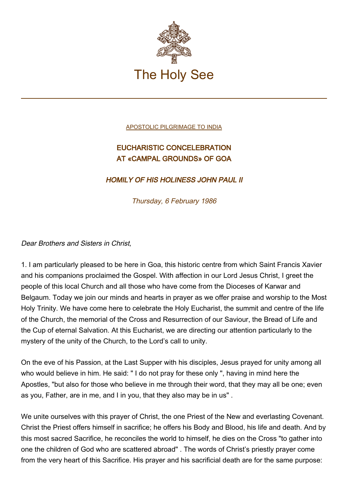

[APOSTOLIC PILGRIMAGE TO INDIA](http://www.vatican.va/holy_father/john_paul_ii/travels/sub_index1986/trav_india.htm)

## EUCHARISTIC CONCELEBRATION AT «CAMPAL GROUNDS» OF GOA

## HOMILY OF HIS HOLINESS JOHN PAUL II

Thursday, 6 February 1986

## Dear Brothers and Sisters in Christ,

1. I am particularly pleased to be here in Goa, this historic centre from which Saint Francis Xavier and his companions proclaimed the Gospel. With affection in our Lord Jesus Christ, I greet the people of this local Church and all those who have come from the Dioceses of Karwar and Belgaum. Today we join our minds and hearts in prayer as we offer praise and worship to the Most Holy Trinity. We have come here to celebrate the Holy Eucharist, the summit and centre of the life of the Church, the memorial of the Cross and Resurrection of our Saviour, the Bread of Life and the Cup of eternal Salvation. At this Eucharist, we are directing our attention particularly to the mystery of the unity of the Church, to the Lord's call to unity.

On the eve of his Passion, at the Last Supper with his disciples, Jesus prayed for unity among all who would believe in him. He said: " I do not pray for these only ", having in mind here the Apostles, "but also for those who believe in me through their word, that they may all be one; even as you, Father, are in me, and I in you, that they also may be in us" .

We unite ourselves with this prayer of Christ, the one Priest of the New and everlasting Covenant. Christ the Priest offers himself in sacrifice; he offers his Body and Blood, his life and death. And by this most sacred Sacrifice, he reconciles the world to himself, he dies on the Cross "to gather into one the children of God who are scattered abroad" . The words of Christ's priestly prayer come from the very heart of this Sacrifice. His prayer and his sacrificial death are for the same purpose: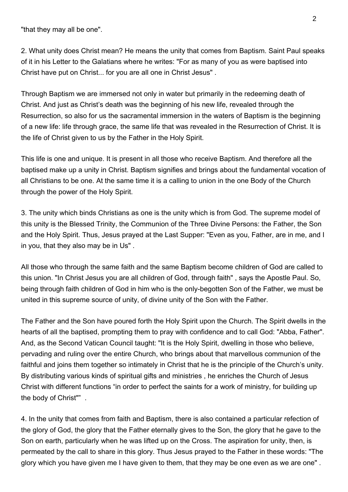"that they may all be one".

2. What unity does Christ mean? He means the unity that comes from Baptism. Saint Paul speaks of it in his Letter to the Galatians where he writes: "For as many of you as were baptised into Christ have put on Christ... for you are all one in Christ Jesus" .

Through Baptism we are immersed not only in water but primarily in the redeeming death of Christ. And just as Christ's death was the beginning of his new life, revealed through the Resurrection, so also for us the sacramental immersion in the waters of Baptism is the beginning of a new life: life through grace, the same life that was revealed in the Resurrection of Christ. It is the life of Christ given to us by the Father in the Holy Spirit.

This life is one and unique. It is present in all those who receive Baptism. And therefore all the baptised make up a unity in Christ. Baptism signifies and brings about the fundamental vocation of all Christians to be one. At the same time it is a calling to union in the one Body of the Church through the power of the Holy Spirit.

3. The unity which binds Christians as one is the unity which is from God. The supreme model of this unity is the Blessed Trinity, the Communion of the Three Divine Persons: the Father, the Son and the Holy Spirit. Thus, Jesus prayed at the Last Supper: "Even as you, Father, are in me, and I in you, that they also may be in Us" .

All those who through the same faith and the same Baptism become children of God are called to this union. "In Christ Jesus you are all children of God, through faith" , says the Apostle Paul. So, being through faith children of God in him who is the only-begotten Son of the Father, we must be united in this supreme source of unity, of divine unity of the Son with the Father.

The Father and the Son have poured forth the Holy Spirit upon the Church. The Spirit dwells in the hearts of all the baptised, prompting them to pray with confidence and to call God: "Abba, Father". And, as the Second Vatican Council taught: "It is the Holy Spirit, dwelling in those who believe, pervading and ruling over the entire Church, who brings about that marvellous communion of the faithful and joins them together so intimately in Christ that he is the principle of the Church's unity. By distributing various kinds of spiritual gifts and ministries , he enriches the Church of Jesus Christ with different functions "in order to perfect the saints for a work of ministry, for building up the body of Christ"" .

4. In the unity that comes from faith and Baptism, there is also contained a particular refection of the glory of God, the glory that the Father eternally gives to the Son, the glory that he gave to the Son on earth, particularly when he was lifted up on the Cross. The aspiration for unity, then, is permeated by the call to share in this glory. Thus Jesus prayed to the Father in these words: "The glory which you have given me I have given to them, that they may be one even as we are one" .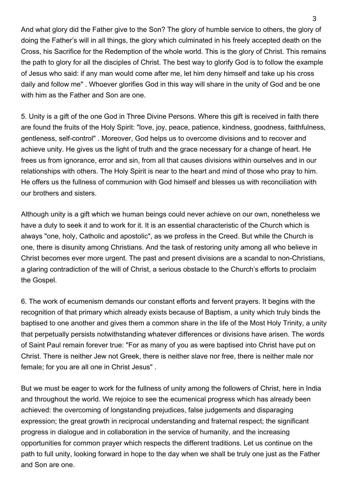And what glory did the Father give to the Son? The glory of humble service to others, the glory of doing the Father's will in all things, the glory which culminated in his freely accepted death on the Cross, his Sacrifice for the Redemption of the whole world. This is the glory of Christ. This remains the path to glory for all the disciples of Christ. The best way to glorify God is to follow the example of Jesus who said: if any man would come after me, let him deny himself and take up his cross daily and follow me" . Whoever glorifies God in this way will share in the unity of God and be one with him as the Father and Son are one.

5. Unity is a gift of the one God in Three Divine Persons. Where this gift is received in faith there are found the fruits of the Holy Spirit: "love, joy, peace, patience, kindness, goodness, faithfulness, gentleness, self-control" . Moreover, God helps us to overcome divisions and to recover and achieve unity. He gives us the light of truth and the grace necessary for a change of heart. He frees us from ignorance, error and sin, from all that causes divisions within ourselves and in our relationships with others. The Holy Spirit is near to the heart and mind of those who pray to him. He offers us the fullness of communion with God himself and blesses us with reconciliation with our brothers and sisters.

Although unity is a gift which we human beings could never achieve on our own, nonetheless we have a duty to seek it and to work for it. It is an essential characteristic of the Church which is always "one, holy, Catholic and apostolic", as we profess in the Creed. But while the Church is one, there is disunity among Christians. And the task of restoring unity among all who believe in Christ becomes ever more urgent. The past and present divisions are a scandal to non-Christians, a glaring contradiction of the will of Christ, a serious obstacle to the Church's efforts to proclaim the Gospel.

6. The work of ecumenism demands our constant efforts and fervent prayers. It begins with the recognition of that primary which already exists because of Baptism, a unity which truly binds the baptised to one another and gives them a common share in the life of the Most Holy Trinity, a unity that perpetually persists notwithstanding whatever differences or divisions have arisen. The words of Saint Paul remain forever true: "For as many of you as were baptised into Christ have put on Christ. There is neither Jew not Greek, there is neither slave nor free, there is neither male nor female; for you are all one in Christ Jesus" .

But we must be eager to work for the fullness of unity among the followers of Christ, here in India and throughout the world. We rejoice to see the ecumenical progress which has already been achieved: the overcoming of longstanding prejudices, false judgements and disparaging expression; the great growth in reciprocal understanding and fraternal respect; the significant progress in dialogue and in collaboration in the service of humanity, and the increasing opportunities for common prayer which respects the different traditions. Let us continue on the path to full unity, looking forward in hope to the day when we shall be truly one just as the Father and Son are one.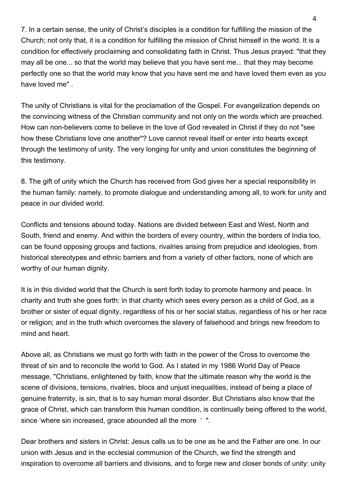7. In a certain sense, the unity of Christ's disciples is a condition for fulfilling the mission of the Church; not only that, it is a condition for fulfilling the mission of Christ himself in the world. It is a condition for effectively proclaiming and consolidating faith in Christ. Thus Jesus prayed: "that they may all be one... so that the world may believe that you have sent me... that they may become perfectly one so that the world may know that you have sent me and have loved them even as you have loved me" .

The unity of Christians is vital for the proclamation of the Gospel. For evangelization depends on the convincing witness of the Christian community and not only on the words which are preached. How can non-believers come to believe in the love of God revealed in Christ if they do not "see how these Christians love one another"? Love cannot reveal itself or enter into hearts except through the testimony of unity. The very longing for unity and union constitutes the beginning of this testimony.

8. The gift of unity which the Church has received from God gives her a special responsibility in the human family: namely, to promote dialogue and understanding among all, to work for unity and peace in our divided world.

Conflicts and tensions abound today. Nations are divided between East and West, North and South, friend and enemy. And within the borders of every country, within the borders of India too, can be found opposing groups and factions, rivalries arising from prejudice and ideologies, from historical stereotypes and ethnic barriers and from a variety of other factors, none of which are worthy of our human dignity.

It is in this divided world that the Church is sent forth today to promote harmony and peace. In charity and truth she goes forth: in that charity which sees every person as a child of God, as a brother or sister of equal dignity, regardless of his or her social status, regardless of his or her race or religion; and in the truth which overcomes the slavery of falsehood and brings new freedom to mind and heart.

Above all, as Christians we must go forth with faith in the power of the Cross to overcome the threat of sin and to reconcile the world to God. As I stated in my 1986 World Day of Peace message, "Christians, enlightened by faith, know that the ultimate reason why the world is the scene of divisions, tensions, rivalries, blocs and unjust inequalities, instead of being a place of genuine fraternity, is sin, that is to say human moral disorder. But Christians also know that the grace of Christ, which can transform this human condition, is continually being offered to the world, since 'where sin increased, grace abounded all the more ' ".

Dear brothers and sisters in Christ: Jesus calls us to be one as he and the Father are one. In our union with Jesus and in the ecclesial communion of the Church, we find the strength and inspiration to overcome all barriers and divisions, and to forge new and closer bonds of unity: unity